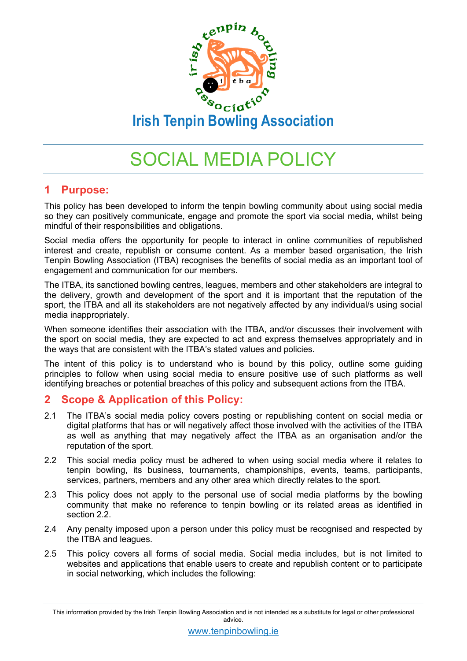

# SOCIAL MEDIA POLICY

## **1 Purpose:**

This policy has been developed to inform the tenpin bowling community about using social media so they can positively communicate, engage and promote the sport via social media, whilst being mindful of their responsibilities and obligations.

Social media offers the opportunity for people to interact in online communities of republished interest and create, republish or consume content. As a member based organisation, the Irish Tenpin Bowling Association (ITBA) recognises the benefits of social media as an important tool of engagement and communication for our members.

The ITBA, its sanctioned bowling centres, leagues, members and other stakeholders are integral to the delivery, growth and development of the sport and it is important that the reputation of the sport, the ITBA and all its stakeholders are not negatively affected by any individual/s using social media inappropriately.

When someone identifies their association with the ITBA, and/or discusses their involvement with the sport on social media, they are expected to act and express themselves appropriately and in the ways that are consistent with the ITBA's stated values and policies.

The intent of this policy is to understand who is bound by this policy, outline some guiding principles to follow when using social media to ensure positive use of such platforms as well identifying breaches or potential breaches of this policy and subsequent actions from the ITBA.

## **2 Scope & Application of this Policy:**

- 2.1 The ITBA's social media policy covers posting or republishing content on social media or digital platforms that has or will negatively affect those involved with the activities of the ITBA as well as anything that may negatively affect the ITBA as an organisation and/or the reputation of the sport.
- 2.2 This social media policy must be adhered to when using social media where it relates to tenpin bowling, its business, tournaments, championships, events, teams, participants, services, partners, members and any other area which directly relates to the sport.
- 2.3 This policy does not apply to the personal use of social media platforms by the bowling community that make no reference to tenpin bowling or its related areas as identified in section 2.2.
- 2.4 Any penalty imposed upon a person under this policy must be recognised and respected by the ITBA and leagues.
- 2.5 This policy covers all forms of social media. Social media includes, but is not limited to websites and applications that enable users to create and republish content or to participate in social networking, which includes the following:

This information provided by the Irish Tenpin Bowling Association and is not intended as a substitute for legal or other professional advice.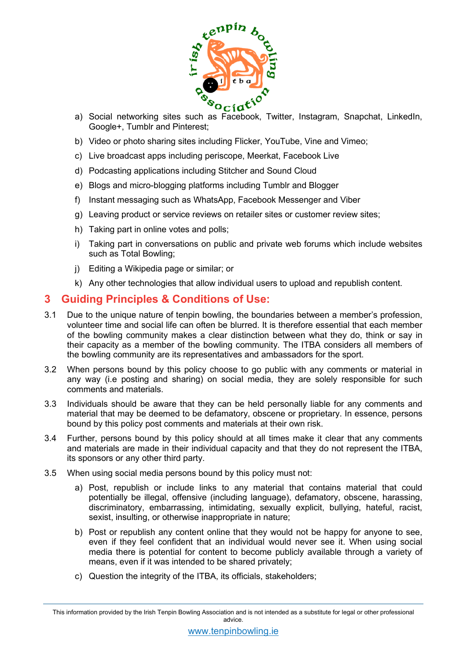

- a) Social networking sites such as Facebook, Twitter, Instagram, Snapchat, LinkedIn, Google+, Tumblr and Pinterest;
- b) Video or photo sharing sites including Flicker, YouTube, Vine and Vimeo;
- c) Live broadcast apps including periscope, Meerkat, Facebook Live
- d) Podcasting applications including Stitcher and Sound Cloud
- e) Blogs and micro-blogging platforms including Tumblr and Blogger
- f) Instant messaging such as WhatsApp, Facebook Messenger and Viber
- g) Leaving product or service reviews on retailer sites or customer review sites;
- h) Taking part in online votes and polls;
- i) Taking part in conversations on public and private web forums which include websites such as Total Bowling;
- j) Editing a Wikipedia page or similar; or
- k) Any other technologies that allow individual users to upload and republish content.

## **3 Guiding Principles & Conditions of Use:**

- 3.1 Due to the unique nature of tenpin bowling, the boundaries between a member's profession, volunteer time and social life can often be blurred. It is therefore essential that each member of the bowling community makes a clear distinction between what they do, think or say in their capacity as a member of the bowling community. The ITBA considers all members of the bowling community are its representatives and ambassadors for the sport.
- 3.2 When persons bound by this policy choose to go public with any comments or material in any way (i.e posting and sharing) on social media, they are solely responsible for such comments and materials.
- 3.3 Individuals should be aware that they can be held personally liable for any comments and material that may be deemed to be defamatory, obscene or proprietary. In essence, persons bound by this policy post comments and materials at their own risk.
- 3.4 Further, persons bound by this policy should at all times make it clear that any comments and materials are made in their individual capacity and that they do not represent the ITBA, its sponsors or any other third party.
- 3.5 When using social media persons bound by this policy must not:
	- a) Post, republish or include links to any material that contains material that could potentially be illegal, offensive (including language), defamatory, obscene, harassing, discriminatory, embarrassing, intimidating, sexually explicit, bullying, hateful, racist, sexist, insulting, or otherwise inappropriate in nature;
	- b) Post or republish any content online that they would not be happy for anyone to see, even if they feel confident that an individual would never see it. When using social media there is potential for content to become publicly available through a variety of means, even if it was intended to be shared privately;
	- c) Question the integrity of the ITBA, its officials, stakeholders;

This information provided by the Irish Tenpin Bowling Association and is not intended as a substitute for legal or other professional advice.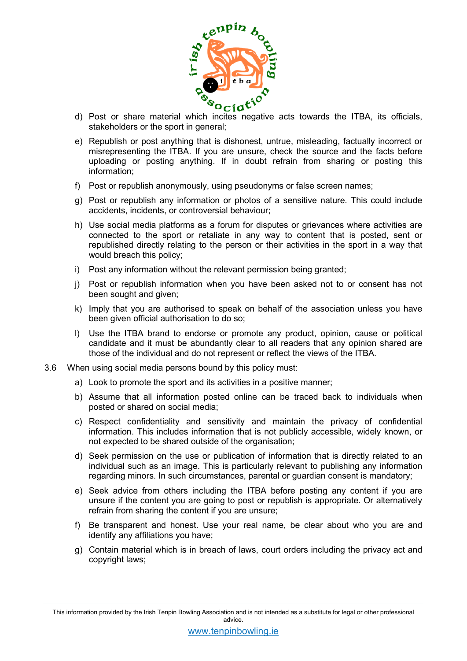

- d) Post or share material which incites negative acts towards the ITBA, its officials, stakeholders or the sport in general;
- e) Republish or post anything that is dishonest, untrue, misleading, factually incorrect or misrepresenting the ITBA. If you are unsure, check the source and the facts before uploading or posting anything. If in doubt refrain from sharing or posting this information;
- f) Post or republish anonymously, using pseudonyms or false screen names;
- g) Post or republish any information or photos of a sensitive nature. This could include accidents, incidents, or controversial behaviour;
- h) Use social media platforms as a forum for disputes or grievances where activities are connected to the sport or retaliate in any way to content that is posted, sent or republished directly relating to the person or their activities in the sport in a way that would breach this policy;
- i) Post any information without the relevant permission being granted;
- j) Post or republish information when you have been asked not to or consent has not been sought and given;
- k) Imply that you are authorised to speak on behalf of the association unless you have been given official authorisation to do so;
- l) Use the ITBA brand to endorse or promote any product, opinion, cause or political candidate and it must be abundantly clear to all readers that any opinion shared are those of the individual and do not represent or reflect the views of the ITBA.
- 3.6 When using social media persons bound by this policy must:
	- a) Look to promote the sport and its activities in a positive manner;
	- b) Assume that all information posted online can be traced back to individuals when posted or shared on social media;
	- c) Respect confidentiality and sensitivity and maintain the privacy of confidential information. This includes information that is not publicly accessible, widely known, or not expected to be shared outside of the organisation;
	- d) Seek permission on the use or publication of information that is directly related to an individual such as an image. This is particularly relevant to publishing any information regarding minors. In such circumstances, parental or guardian consent is mandatory;
	- e) Seek advice from others including the ITBA before posting any content if you are unsure if the content you are going to post or republish is appropriate. Or alternatively refrain from sharing the content if you are unsure;
	- f) Be transparent and honest. Use your real name, be clear about who you are and identify any affiliations you have;
	- g) Contain material which is in breach of laws, court orders including the privacy act and copyright laws;

This information provided by the Irish Tenpin Bowling Association and is not intended as a substitute for legal or other professional advice.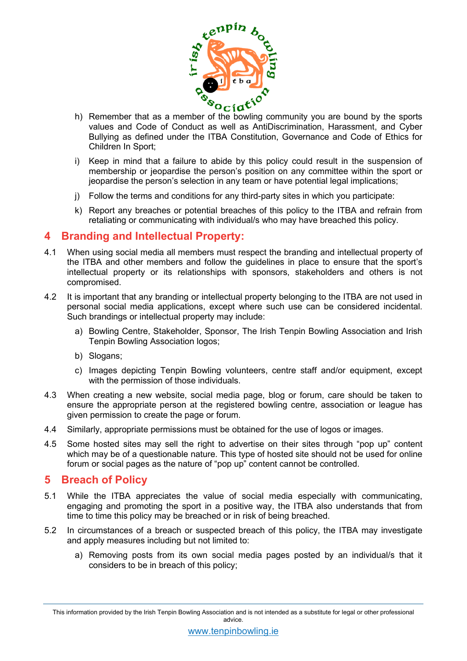

- h) Remember that as a member of the bowling community you are bound by the sports values and Code of Conduct as well as AntiDiscrimination, Harassment, and Cyber Bullying as defined under the ITBA Constitution, Governance and Code of Ethics for Children In Sport;
- i) Keep in mind that a failure to abide by this policy could result in the suspension of membership or jeopardise the person's position on any committee within the sport or jeopardise the person's selection in any team or have potential legal implications;
- j) Follow the terms and conditions for any third-party sites in which you participate:
- k) Report any breaches or potential breaches of this policy to the ITBA and refrain from retaliating or communicating with individual/s who may have breached this policy.

#### **4 Branding and Intellectual Property:**

- 4.1 When using social media all members must respect the branding and intellectual property of the ITBA and other members and follow the guidelines in place to ensure that the sport's intellectual property or its relationships with sponsors, stakeholders and others is not compromised.
- 4.2 It is important that any branding or intellectual property belonging to the ITBA are not used in personal social media applications, except where such use can be considered incidental. Such brandings or intellectual property may include:
	- a) Bowling Centre, Stakeholder, Sponsor, The Irish Tenpin Bowling Association and Irish Tenpin Bowling Association logos;
	- b) Slogans;
	- c) Images depicting Tenpin Bowling volunteers, centre staff and/or equipment, except with the permission of those individuals.
- 4.3 When creating a new website, social media page, blog or forum, care should be taken to ensure the appropriate person at the registered bowling centre, association or league has given permission to create the page or forum.
- 4.4 Similarly, appropriate permissions must be obtained for the use of logos or images.
- 4.5 Some hosted sites may sell the right to advertise on their sites through "pop up" content which may be of a questionable nature. This type of hosted site should not be used for online forum or social pages as the nature of "pop up" content cannot be controlled.

#### **5 Breach of Policy**

- 5.1 While the ITBA appreciates the value of social media especially with communicating, engaging and promoting the sport in a positive way, the ITBA also understands that from time to time this policy may be breached or in risk of being breached.
- 5.2 In circumstances of a breach or suspected breach of this policy, the ITBA may investigate and apply measures including but not limited to:
	- a) Removing posts from its own social media pages posted by an individual/s that it considers to be in breach of this policy;

This information provided by the Irish Tenpin Bowling Association and is not intended as a substitute for legal or other professional advice.